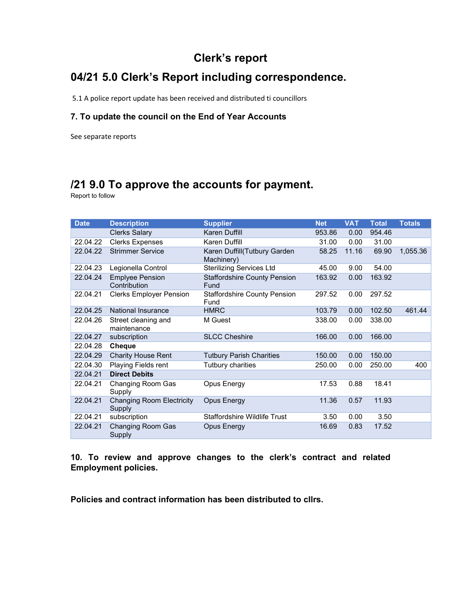## Clerk's report

# 04/21 5.0 Clerk's Report including correspondence.

5.1 A police report update has been received and distributed ti councillors

### 7. To update the council on the End of Year Accounts

See separate reports

# /21 9.0 To approve the accounts for payment.

Report to follow

| <b>Date</b> | <b>Description</b>                         | <b>Supplier</b>                             | <b>Net</b> | <b>VAT</b> | <b>Total</b> | <b>Totals</b> |
|-------------|--------------------------------------------|---------------------------------------------|------------|------------|--------------|---------------|
|             | <b>Clerks Salary</b>                       | Karen Duffill                               | 953.86     | 0.00       | 954.46       |               |
| 22.04.22    | <b>Clerks Expenses</b>                     | Karen Duffill                               | 31.00      | 0.00       | 31.00        |               |
| 22.04.22    | <b>Strimmer Service</b>                    | Karen Duffill(Tutbury Garden<br>Machinery)  | 58.25      | 11.16      | 69.90        | 1,055.36      |
| 22.04.23    | Legionella Control                         | <b>Sterilizing Services Ltd</b>             | 45.00      | 9.00       | 54.00        |               |
| 22.04.24    | <b>Emplyee Pension</b><br>Contribution     | <b>Staffordshire County Pension</b><br>Fund | 163.92     | 0.00       | 163.92       |               |
| 22.04.21    | <b>Clerks Employer Pension</b>             | <b>Staffordshire County Pension</b><br>Fund | 297.52     | 0.00       | 297.52       |               |
| 22.04.25    | <b>National Insurance</b>                  | <b>HMRC</b>                                 | 103.79     | 0.00       | 102.50       | 461.44        |
| 22.04.26    | Street cleaning and<br>maintenance         | M Guest                                     | 338.00     | 0.00       | 338.00       |               |
| 22.04.27    | subscription                               | <b>SLCC Cheshire</b>                        | 166.00     | 0.00       | 166.00       |               |
| 22.04.28    | <b>Cheque</b>                              |                                             |            |            |              |               |
| 22.04.29    | <b>Charity House Rent</b>                  | <b>Tutbury Parish Charities</b>             | 150.00     | 0.00       | 150.00       |               |
| 22.04.30    | Playing Fields rent                        | Tutbury charities                           | 250.00     | 0.00       | 250.00       | 400           |
| 22.04.21    | <b>Direct Debits</b>                       |                                             |            |            |              |               |
| 22.04.21    | Changing Room Gas<br>Supply                | Opus Energy                                 | 17.53      | 0.88       | 18.41        |               |
| 22.04.21    | <b>Changing Room Electricity</b><br>Supply | <b>Opus Energy</b>                          | 11.36      | 0.57       | 11.93        |               |
| 22.04.21    | subscription                               | <b>Staffordshire Wildlife Trust</b>         | 3.50       | 0.00       | 3.50         |               |
| 22.04.21    | Changing Room Gas<br>Supply                | <b>Opus Energy</b>                          | 16.69      | 0.83       | 17.52        |               |

10. To review and approve changes to the clerk's contract and related Employment policies.

Policies and contract information has been distributed to cllrs.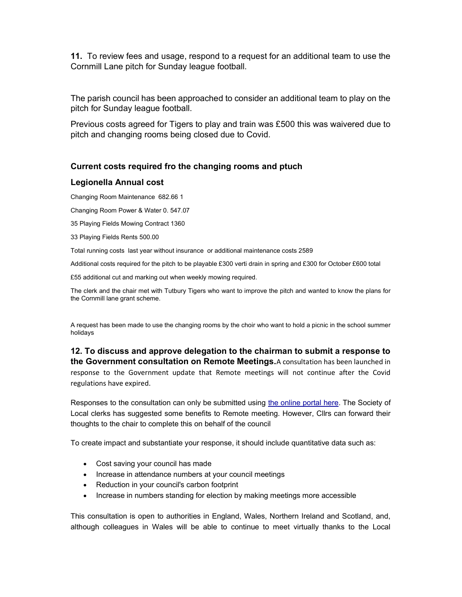11. To review fees and usage, respond to a request for an additional team to use the Cornmill Lane pitch for Sunday league football.

The parish council has been approached to consider an additional team to play on the pitch for Sunday league football.

Previous costs agreed for Tigers to play and train was £500 this was waivered due to pitch and changing rooms being closed due to Covid.

### Current costs required fro the changing rooms and ptuch

#### Legionella Annual cost

Changing Room Maintenance 682.66 1

Changing Room Power & Water 0. 547.07

35 Playing Fields Mowing Contract 1360

33 Playing Fields Rents 500.00

Total running costs last year without insurance or additional maintenance costs 2589

Additional costs required for the pitch to be playable £300 verti drain in spring and £300 for October £600 total

£55 additional cut and marking out when weekly mowing required.

The clerk and the chair met with Tutbury Tigers who want to improve the pitch and wanted to know the plans for the Cornmill lane grant scheme.

A request has been made to use the changing rooms by the choir who want to hold a picnic in the school summer holidays

12. To discuss and approve delegation to the chairman to submit a response to the Government consultation on Remote Meetings.A consultation has been launched in response to the Government update that Remote meetings will not continue after the Covid regulations have expired.

Responses to the consultation can only be submitted using the online portal here. The Society of Local clerks has suggested some benefits to Remote meeting. However, Cllrs can forward their thoughts to the chair to complete this on behalf of the council

To create impact and substantiate your response, it should include quantitative data such as:

- Cost saving your council has made
- Increase in attendance numbers at your council meetings
- Reduction in your council's carbon footprint
- Increase in numbers standing for election by making meetings more accessible

This consultation is open to authorities in England, Wales, Northern Ireland and Scotland, and, although colleagues in Wales will be able to continue to meet virtually thanks to the Local